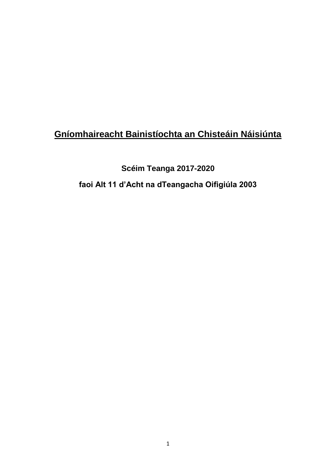## **Gníomhaireacht Bainistíochta an Chisteáin Náisiúnta**

# **Scéim Teanga 2017-2020 faoi Alt 11 d'Acht na dTeangacha Oifigiúla 2003**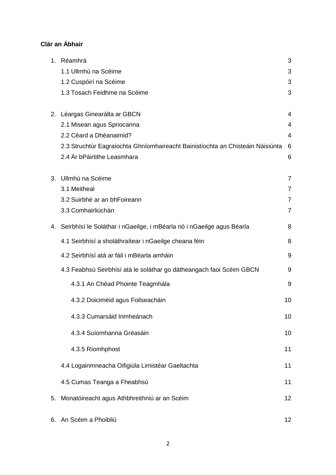## **Clár an Ábhair**

| 1. | Réamhrá                                                                        | 3              |
|----|--------------------------------------------------------------------------------|----------------|
|    | 1.1 Ullmhú na Scéime                                                           | 3              |
|    | 1.2 Cuspóirí na Scéime                                                         | 3              |
|    | 1.3 Tosach Feidhme na Scéime                                                   | 3              |
|    | 2. Léargas Ginearálta ar GBCN                                                  | 4              |
|    | 2.1 Misean agus Spriocanna                                                     | 4              |
|    | 2.2 Céard a Dhéanaimid?                                                        | $\overline{4}$ |
|    | 2.3 Struchtúr Eagraíochta Ghníomhaireacht Bainistíochta an Chisteáin Náisiúnta | 6              |
|    | 2.4 Ár bPáirtithe Leasmhara                                                    | 6              |
| 3. | Ullmhú na Scéime                                                               | $\overline{7}$ |
|    | 3.1 Meitheal                                                                   | $\overline{7}$ |
|    | 3.2 Suirbhé ar an bhFoireann                                                   | $\overline{7}$ |
|    | 3.3 Comhairliúchán                                                             | $\overline{7}$ |
|    | 4. Seirbhísí le Soláthar i nGaeilge, i mBéarla nó i nGaeilge agus Béarla       | 8              |
|    | 4.1 Seirbhísí a sholáthraítear i nGaeilge cheana féin                          | 8              |
|    | 4.2 Seirbhísí atá ar fáil i mBéarla amháin                                     | 9              |
|    | 4.3 Feabhsú Seirbhísí atá le soláthar go dátheangach faoi Scéim GBCN           | 9              |
|    | 4.3.1 An Chéad Phointe Teagmhála                                               | 9              |
|    | 4.3.2 Doiciméid agus Foilseacháin                                              | 10             |
|    | 4.3.3 Cumarsáid Inmheánach                                                     | 10             |
|    | 4.3.4 Suíomhanna Gréasáin                                                      | 10             |
|    | 4.3.5 Ríomhphost                                                               | 11             |
|    | 4.4 Logainmneacha Oifigiúla Limistéar Gaeltachta                               | 11             |
|    | 4.5 Cumas Teanga a Fheabhsú                                                    | 11             |
|    | 5. Monatóireacht agus Athbhreithniú ar an Scéim                                | 12             |
|    | Coóim a Dhoibliú                                                               |                |

6. An Scéim a Phoibliú 12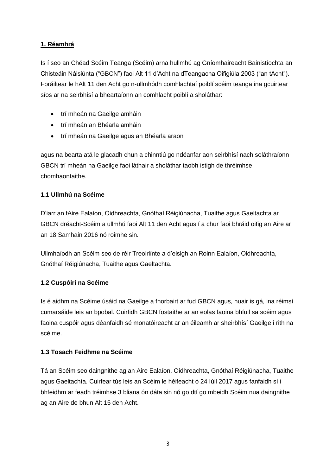## **1. Réamhrá**

Is í seo an Chéad Scéim Teanga (Scéim) arna hullmhú ag Gníomhaireacht Bainistíochta an Chisteáin Náisiúnta ("GBCN") faoi Alt 11 d"Acht na dTeangacha Oifigiúla 2003 ("an tAcht"). Foráiltear le hAlt 11 den Acht go n-ullmhódh comhlachtaí poiblí scéim teanga ina gcuirtear síos ar na seirbhísí a bheartaíonn an comhlacht poiblí a sholáthar:

- trí mheán na Gaeilge amháin
- trí mheán an Bhéarla amháin
- trí mheán na Gaeilge agus an Bhéarla araon

agus na bearta atá le glacadh chun a chinntiú go ndéanfar aon seirbhísí nach soláthraíonn GBCN trí mheán na Gaeilge faoi láthair a sholáthar taobh istigh de thréimhse chomhaontaithe.

## **1.1 Ullmhú na Scéime**

D"iarr an tAire Ealaíon, Oidhreachta, Gnóthaí Réigiúnacha, Tuaithe agus Gaeltachta ar GBCN dréacht-Scéim a ullmhú faoi Alt 11 den Acht agus í a chur faoi bhráid oifig an Aire ar an 18 Samhain 2016 nó roimhe sin.

Ullmhaíodh an Scéim seo de réir Treoirlínte a d"eisigh an Roinn Ealaíon, Oidhreachta, Gnóthaí Réigiúnacha, Tuaithe agus Gaeltachta.

## **1.2 Cuspóirí na Scéime**

Is é aidhm na Scéime úsáid na Gaeilge a fhorbairt ar fud GBCN agus, nuair is gá, ina réimsí cumarsáide leis an bpobal. Cuirfidh GBCN fostaithe ar an eolas faoina bhfuil sa scéim agus faoina cuspóir agus déanfaidh sé monatóireacht ar an éileamh ar sheirbhísí Gaeilge i rith na scéime.

## **1.3 Tosach Feidhme na Scéime**

Tá an Scéim seo daingnithe ag an Aire Ealaíon, Oidhreachta, Gnóthaí Réigiúnacha, Tuaithe agus Gaeltachta. Cuirfear tús leis an Scéim le héifeacht ó 24 Iúil 2017 agus fanfaidh sí i bhfeidhm ar feadh tréimhse 3 bliana ón dáta sin nó go dtí go mbeidh Scéim nua daingnithe ag an Aire de bhun Alt 15 den Acht.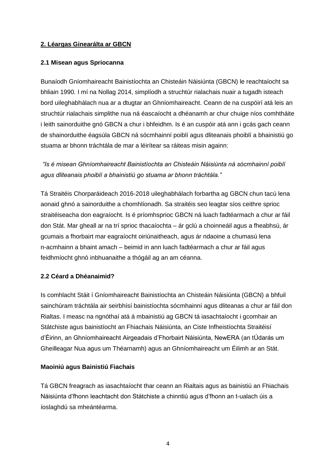## **2. Léargas Ginearálta ar GBCN**

#### **2.1 Misean agus Spriocanna**

Bunaíodh Gníomhaireacht Bainistíochta an Chisteáin Náisiúnta (GBCN) le reachtaíocht sa bhliain 1990. I mí na Nollag 2014, simplíodh a struchtúr rialachais nuair a tugadh isteach bord uileghabhálach nua ar a dtugtar an Ghníomhaireacht. Ceann de na cuspóirí atá leis an struchtúr rialachais simplithe nua ná éascaíocht a dhéanamh ar chur chuige níos comhtháite i leith sainorduithe gnó GBCN a chur i bhfeidhm. Is é an cuspóir atá ann i gcás gach ceann de shainorduithe éagsúla GBCN ná sócmhainní poiblí agus dliteanais phoiblí a bhainistiú go stuama ar bhonn tráchtála de mar a léirítear sa ráiteas misin againn:

*"Is é misean Ghníomhaireacht Bainistíochta an Chisteáin Náisiúnta ná sócmhainní poiblí agus dliteanais phoiblí a bhainistiú go stuama ar bhonn tráchtála."*

Tá Straitéis Chorparáideach 2016-2018 uileghabhálach forbartha ag GBCN chun tacú lena aonaid ghnó a sainorduithe a chomhlíonadh. Sa straitéis seo leagtar síos ceithre sprioc straitéiseacha don eagraíocht. Is é príomhsprioc GBCN ná luach fadtéarmach a chur ar fáil don Stát. Mar gheall ar na trí sprioc thacaíochta – ár gclú a choinneáil agus a fheabhsú, ár gcumais a fhorbairt mar eagraíocht oiriúnaitheach, agus ár ndaoine a chumasú lena n-acmhainn a bhaint amach – beimid in ann luach fadtéarmach a chur ar fáil agus feidhmíocht ghnó inbhuanaithe a thógáil ag an am céanna.

## **2.2 Céard a Dhéanaimid?**

Is comhlacht Stáit í Gníomhaireacht Bainistíochta an Chisteáin Náisiúnta (GBCN) a bhfuil sainchúram tráchtála air seirbhísí bainistíochta sócmhainní agus dliteanas a chur ar fáil don Rialtas. I measc na ngnóthaí atá á mbainistiú ag GBCN tá iasachtaíocht i gcomhair an Státchiste agus bainistíocht an Fhiachais Náisiúnta, an Ciste Infheistíochta Straitéisí d"Éirinn, an Ghníomhaireacht Airgeadais d"Fhorbairt Náisiúnta, NewERA (an tÚdarás um Gheilleagar Nua agus um Théarnamh) agus an Ghníomhaireacht um Éilimh ar an Stát.

#### **Maoiniú agus Bainistiú Fiachais**

Tá GBCN freagrach as iasachtaíocht thar ceann an Rialtais agus as bainistiú an Fhiachais Náisiúnta d"fhonn leachtacht don Státchiste a chinntiú agus d"fhonn an t-ualach úis a íoslaghdú sa mheántéarma.

4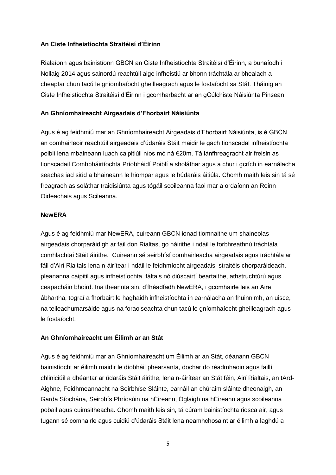## **An Ciste Infheistíochta Straitéisí d'Éirinn**

Rialaíonn agus bainistíonn GBCN an Ciste Infheistíochta Straitéisí d"Éirinn, a bunaíodh i Nollaig 2014 agus sainordú reachtúil aige infheistiú ar bhonn tráchtála ar bhealach a cheapfar chun tacú le gníomhaíocht gheilleagrach agus le fostaíocht sa Stát. Tháinig an Ciste Infheistíochta Straitéisí d"Éirinn i gcomharbacht ar an gCúlchiste Náisiúnta Pinsean.

## **An Ghníomhaireacht Airgeadais d'Fhorbairt Náisiúnta**

Agus é ag feidhmiú mar an Ghníomhaireacht Airgeadais d"Fhorbairt Náisiúnta, is é GBCN an comhairleoir reachtúil airgeadais d"údaráis Stáit maidir le gach tionscadal infheistíochta poiblí lena mbaineann luach caipitiúil níos mó ná €20m. Tá lánfhreagracht air freisin as tionscadail Comhpháirtíochta Príobháidí Poiblí a sholáthar agus a chur i gcrích in earnálacha seachas iad siúd a bhaineann le hiompar agus le húdaráis áitiúla. Chomh maith leis sin tá sé freagrach as soláthar traidisiúnta agus tógáil scoileanna faoi mar a ordaíonn an Roinn Oideachais agus Scileanna.

## **NewERA**

Agus é ag feidhmiú mar NewERA, cuireann GBCN ionad tiomnaithe um shaineolas airgeadais chorparáidigh ar fáil don Rialtas, go háirithe i ndáil le forbhreathnú tráchtála comhlachtaí Stáit áirithe. Cuireann sé seirbhísí comhairleacha airgeadais agus tráchtála ar fáil d"Airí Rialtais lena n-áirítear i ndáil le feidhmíocht airgeadais, straitéis chorparáideach, pleananna caipitil agus infheistíochta, fáltais nó diúscairtí beartaithe, athstruchtúrú agus ceapacháin bhoird. Ina theannta sin, d"fhéadfadh NewERA, i gcomhairle leis an Aire ábhartha, tograí a fhorbairt le haghaidh infheistíochta in earnálacha an fhuinnimh, an uisce, na teileachumarsáide agus na foraoiseachta chun tacú le gníomhaíocht gheilleagrach agus le fostaíocht.

## **An Ghníomhaireacht um Éilimh ar an Stát**

Agus é ag feidhmiú mar an Ghníomhaireacht um Éilimh ar an Stát, déanann GBCN bainistíocht ar éilimh maidir le díobháil phearsanta, dochar do réadmhaoin agus faillí chliniciúil a dhéantar ar údaráis Stáit áirithe, lena n-áirítear an Stát féin, Airí Rialtais, an tArd-Aighne, Feidhmeannacht na Seirbhíse Sláinte, earnáil an chúraim sláinte dheonaigh, an Garda Síochána, Seirbhís Phríosúin na hÉireann, Óglaigh na hÉireann agus scoileanna pobail agus cuimsitheacha. Chomh maith leis sin, tá cúram bainistíochta riosca air, agus tugann sé comhairle agus cuidiú d"údaráis Stáit lena neamhchosaint ar éilimh a laghdú a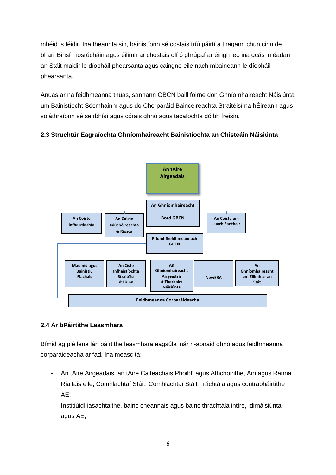mhéid is féidir. Ina theannta sin, bainistíonn sé costais tríú páirtí a thagann chun cinn de bharr Binsí Fiosrúcháin agus éilimh ar chostais dlí ó ghrúpaí ar éirigh leo ina gcás in éadan an Stáit maidir le díobháil phearsanta agus caingne eile nach mbaineann le díobháil phearsanta.

Anuas ar na feidhmeanna thuas, sannann GBCN baill foirne don Ghníomhaireacht Náisiúnta um Bainistíocht Sócmhainní agus do Chorparáid Baincéireachta Straitéisí na hÉireann agus soláthraíonn sé seirbhísí agus córais ghnó agus tacaíochta dóibh freisin.

## **2.3 Struchtúr Eagraíochta Ghníomhaireacht Bainistíochta an Chisteáin Náisiúnta**



## **2.4 Ár bPáirtithe Leasmhara**

Bímid ag plé lena lán páirtithe leasmhara éagsúla inár n-aonaid ghnó agus feidhmeanna corparáideacha ar fad. Ina measc tá:

- An tAire Airgeadais, an tAire Caiteachais Phoiblí agus Athchóirithe, Airí agus Ranna Rialtais eile, Comhlachtaí Stáit, Comhlachtaí Stáit Tráchtála agus contrapháirtithe AE;
- Institiúidí iasachtaithe, bainc cheannais agus bainc thráchtála intíre, idirnáisiúnta agus AE;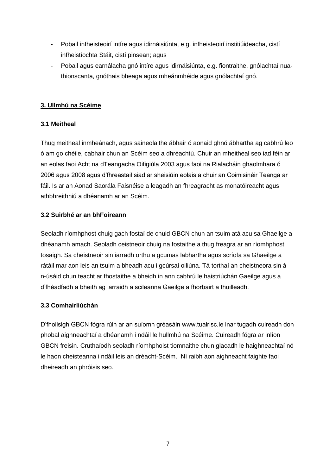- Pobail infheisteoirí intíre agus idirnáisiúnta, e.g. infheisteoirí institiúideacha, cistí infheistíochta Stáit, cistí pinsean; agus
- Pobail agus earnálacha gnó intíre agus idirnáisiúnta, e.g. fiontraithe, gnólachtaí nuathionscanta, gnóthais bheaga agus mheánmhéide agus gnólachtaí gnó.

## **3. Ullmhú na Scéime**

## **3.1 Meitheal**

Thug meitheal inmheánach, agus saineolaithe ábhair ó aonaid ghnó ábhartha ag cabhrú leo ó am go chéile, cabhair chun an Scéim seo a dhréachtú. Chuir an mheitheal seo iad féin ar an eolas faoi Acht na dTeangacha Oifigiúla 2003 agus faoi na Rialacháin ghaolmhara ó 2006 agus 2008 agus d"fhreastail siad ar sheisiúin eolais a chuir an Coimisinéir Teanga ar fáil. Is ar an Aonad Saorála Faisnéise a leagadh an fhreagracht as monatóireacht agus athbhreithniú a dhéanamh ar an Scéim.

## **3.2 Suirbhé ar an bhFoireann**

Seoladh ríomhphost chuig gach fostaí de chuid GBCN chun an tsuim atá acu sa Ghaeilge a dhéanamh amach. Seoladh ceistneoir chuig na fostaithe a thug freagra ar an ríomhphost tosaigh. Sa cheistneoir sin iarradh orthu a gcumas labhartha agus scríofa sa Ghaeilge a rátáil mar aon leis an tsuim a bheadh acu i gcúrsaí oiliúna. Tá torthaí an cheistneora sin á n-úsáid chun teacht ar fhostaithe a bheidh in ann cabhrú le haistriúchán Gaeilge agus a d"fhéadfadh a bheith ag iarraidh a scileanna Gaeilge a fhorbairt a thuilleadh.

## **3.3 Comhairliúchán**

D"fhoilsigh GBCN fógra rúin ar an suíomh gréasáin www.tuairisc.ie inar tugadh cuireadh don phobal aighneachtaí a dhéanamh i ndáil le hullmhú na Scéime. Cuireadh fógra ar inlíon GBCN freisin. Cruthaíodh seoladh ríomhphoist tiomnaithe chun glacadh le haighneachtaí nó le haon cheisteanna i ndáil leis an dréacht-Scéim. Ní raibh aon aighneacht faighte faoi dheireadh an phróisis seo.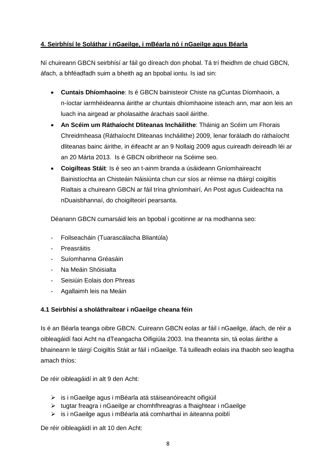## **4. Seirbhísí le Soláthar i nGaeilge, i mBéarla nó i nGaeilge agus Béarla**

Ní chuireann GBCN seirbhísí ar fáil go díreach don phobal. Tá trí fheidhm de chuid GBCN, áfach, a bhféadfadh suim a bheith ag an bpobal iontu. Is iad sin:

- **Cuntais Dhíomhaoine**: Is é GBCN bainisteoir Chiste na gCuntas Díomhaoin, a n-íoctar iarmhéideanna áirithe ar chuntais dhíomhaoine isteach ann, mar aon leis an luach ina airgead ar pholasaithe árachais saoil áirithe.
- **An Scéim um Ráthaíocht Dliteanas Incháilithe**: Tháinig an Scéim um Fhorais Chreidmheasa (Ráthaíocht Dliteanas Incháilithe) 2009, lenar foráladh do ráthaíocht dliteanas bainc áirithe, in éifeacht ar an 9 Nollaig 2009 agus cuireadh deireadh léi ar an 20 Márta 2013. Is é GBCN oibritheoir na Scéime seo.
- **Coigilteas Stáit**: Is é seo an t-ainm branda a úsáideann Gníomhaireacht Bainistíochta an Chisteáin Náisiúnta chun cur síos ar réimse na dtáirgí coigiltis Rialtais a chuireann GBCN ar fáil trína ghníomhairí, An Post agus Cuideachta na nDuaisbhannaí, do choigilteoirí pearsanta.

Déanann GBCN cumarsáid leis an bpobal i gcoitinne ar na modhanna seo:

- Foilseacháin (Tuarascálacha Bliantúla)
- **Preasráitis**
- Suíomhanna Gréasáin
- Na Meáin Shóisialta
- Seisiúin Eolais don Phreas
- Agallaimh leis na Meáin

## **4.1 Seirbhísí a sholáthraítear i nGaeilge cheana féin**

Is é an Béarla teanga oibre GBCN. Cuireann GBCN eolas ar fáil i nGaeilge, áfach, de réir a oibleagáidí faoi Acht na dTeangacha Oifigiúla 2003. Ina theannta sin, tá eolas áirithe a bhaineann le táirgí Coigiltis Stáit ar fáil i nGaeilge. Tá tuilleadh eolais ina thaobh seo leagtha amach thíos:

De réir oibleagáidí in alt 9 den Acht:

- is i nGaeilge agus i mBéarla atá stáiseanóireacht oifigiúil
- $\triangleright$  tugtar freagra i nGaeilge ar chomhfhreagras a fhaightear i nGaeilge
- is i nGaeilge agus i mBéarla atá comharthaí in áiteanna poiblí

De réir oibleagáidí in alt 10 den Acht: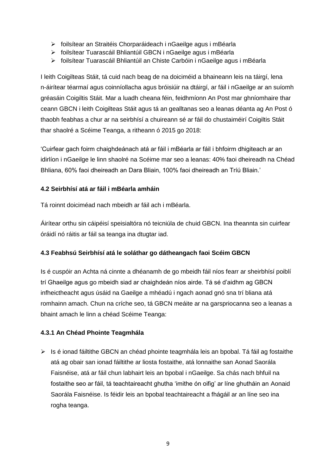- foilsítear an Straitéis Chorparáideach i nGaeilge agus i mBéarla
- foilsítear Tuarascáil Bhliantúil GBCN i nGaeilge agus i mBéarla
- foilsítear Tuarascáil Bhliantúil an Chiste Carbóin i nGaeilge agus i mBéarla

I leith Coigilteas Stáit, tá cuid nach beag de na doiciméid a bhaineann leis na táirgí, lena n-áirítear téarmaí agus coinníollacha agus bróisiúir na dtáirgí, ar fáil i nGaeilge ar an suíomh gréasáin Coigiltis Stáit. Mar a luadh cheana féin, feidhmíonn An Post mar ghníomhaire thar ceann GBCN i leith Coigilteas Stáit agus tá an gealltanas seo a leanas déanta ag An Post ó thaobh feabhas a chur ar na seirbhísí a chuireann sé ar fáil do chustaiméirí Coigiltis Stáit thar shaolré a Scéime Teanga, a ritheann ó 2015 go 2018:

"Cuirfear gach foirm chaighdeánach atá ar fáil i mBéarla ar fáil i bhfoirm dhigiteach ar an idirlíon i nGaeilge le linn shaolré na Scéime mar seo a leanas: 40% faoi dheireadh na Chéad Bhliana, 60% faoi dheireadh an Dara Bliain, 100% faoi dheireadh an Tríú Bliain."

#### **4.2 Seirbhísí atá ar fáil i mBéarla amháin**

Tá roinnt doiciméad nach mbeidh ar fáil ach i mBéarla.

Áirítear orthu sin cáipéisí speisialtóra nó teicniúla de chuid GBCN. Ina theannta sin cuirfear óráidí nó ráitis ar fáil sa teanga ina dtugtar iad.

## **4.3 Feabhsú Seirbhísí atá le soláthar go dátheangach faoi Scéim GBCN**

Is é cuspóir an Achta ná cinnte a dhéanamh de go mbeidh fáil níos fearr ar sheirbhísí poiblí trí Ghaeilge agus go mbeidh siad ar chaighdeán níos airde. Tá sé d"aidhm ag GBCN infheictheacht agus úsáid na Gaeilge a mhéadú i ngach aonad gnó sna trí bliana atá romhainn amach. Chun na críche seo, tá GBCN meáite ar na garspriocanna seo a leanas a bhaint amach le linn a chéad Scéime Teanga:

## **4.3.1 An Chéad Phointe Teagmhála**

 $\triangleright$  Is é ionad fáiltithe GBCN an chéad phointe teagmhála leis an bpobal. Tá fáil ag fostaithe atá ag obair san ionad fáiltithe ar liosta fostaithe, atá lonnaithe san Aonad Saorála Faisnéise, atá ar fáil chun labhairt leis an bpobal i nGaeilge. Sa chás nach bhfuil na fostaithe seo ar fáil, tá teachtaireacht ghutha "imithe ón oifig" ar líne ghutháin an Aonaid Saorála Faisnéise. Is féidir leis an bpobal teachtaireacht a fhágáil ar an líne seo ina rogha teanga.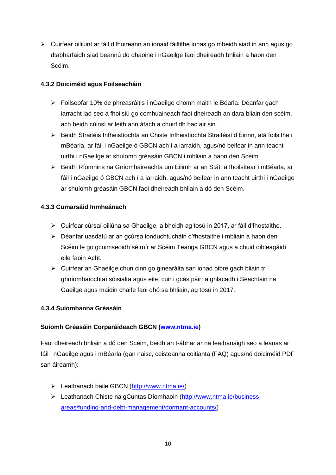Cuirfear oiliúint ar fáil d"fhoireann an ionaid fáiltithe ionas go mbeidh siad in ann agus go dtabharfaidh siad beannú do dhaoine i nGaeilge faoi dheireadh bhliain a haon den Scéim.

## **4.3.2 Doiciméid agus Foilseacháin**

- Foilseofar 10% de phreasráitis i nGaeilge chomh maith le Béarla. Déanfar gach iarracht iad seo a fhoilsiú go comhuaineach faoi dheireadh an dara bliain den scéim, ach beidh cúinsí ar leith ann áfach a chuirfidh bac air sin.
- Beidh Straitéis Infheistíochta an Chiste Infheistíochta Straitéisí d"Éirinn, atá foilsithe i mBéarla, ar fáil i nGaeilge ó GBCN ach í a iarraidh, agus/nó beifear in ann teacht uirthi i nGaeilge ar shuíomh gréasáin GBCN i mbliain a haon den Scéim.
- Beidh Ríomhiris na Gníomhaireachta um Éilimh ar an Stát, a fhoilsítear i mBéarla, ar fáil i nGaeilge ó GBCN ach í a iarraidh, agus/nó beifear in ann teacht uirthi i nGaeilge ar shuíomh gréasáin GBCN faoi dheireadh bhliain a dó den Scéim.

## **4.3.3 Cumarsáid Inmheánach**

- $\triangleright$  Cuirfear cúrsaí oiliúna sa Ghaeilge, a bheidh ag tosú in 2017, ar fáil d'fhostaithe.
- Déanfar uasdátú ar an gcúrsa ionduchtúcháin d"fhostaithe i mbliain a haon den Scéim le go gcuimseoidh sé mír ar Scéim Teanga GBCN agus a chuid oibleagáidí eile faoin Acht.
- Cuirfear an Ghaeilge chun cinn go ginearálta san ionad oibre gach bliain trí ghníomhaíochtaí sóisialta agus eile, cuir i gcás páirt a ghlacadh i Seachtain na Gaeilge agus maidin chaife faoi dhó sa bhliain, ag tosú in 2017.

## **4.3.4 Suíomhanna Gréasáin**

## **Suíomh Gréasáin Corparáideach GBCN [\(www.ntma.ie\)](http://www.ntma.ie/)**

Faoi dheireadh bhliain a dó den Scéim, beidh an t-ábhar ar na leathanaigh seo a leanas ar fáil i nGaeilge agus i mBéarla (gan naisc, ceisteanna coitianta (FAQ) agus/nó doiciméid PDF san áireamh):

- Leathanach baile GBCN [\(http://www.ntma.ie/\)](http://www.ntma.ie/)
- Leathanach Chiste na gCuntas Díomhaoin [\(http://www.ntma.ie/business](http://www.ntma.ie/business-areas/funding-and-debt-management/dormant-accounts/)[areas/funding-and-debt-management/dormant-accounts/\)](http://www.ntma.ie/business-areas/funding-and-debt-management/dormant-accounts/)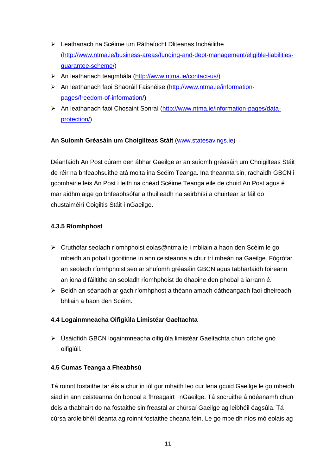- Leathanach na Scéime um Ráthaíocht Dliteanas Incháilithe [\(http://www.ntma.ie/business-areas/funding-and-debt-management/eligible-liabilities](http://www.ntma.ie/business-areas/funding-and-debt-management/eligible-liabilities-guarantee-scheme/)[guarantee-scheme/\)](http://www.ntma.ie/business-areas/funding-and-debt-management/eligible-liabilities-guarantee-scheme/)
- An leathanach teagmhála [\(http://www.ntma.ie/contact-us/\)](http://www.ntma.ie/contact-us/)
- An leathanach faoi Shaoráil Faisnéise [\(http://www.ntma.ie/information](http://www.ntma.ie/information-pages/freedom-of-information/)[pages/freedom-of-information/\)](http://www.ntma.ie/information-pages/freedom-of-information/)
- An leathanach faoi Chosaint Sonraí [\(http://www.ntma.ie/information-pages/data](http://www.ntma.ie/information-pages/data-protection/)[protection/\)](http://www.ntma.ie/information-pages/data-protection/)

## **An Suíomh Gréasáin um Choigilteas Stáit** [\(www.statesavings.ie\)](file:///C:/Users/YeatesO/AppData/Local/Microsoft/Windows/Temporary%20Internet%20Files/Content.Outlook/EGDZYRD7/www.statesavings.ie)

Déanfaidh An Post cúram den ábhar Gaeilge ar an suíomh gréasáin um Choigilteas Stáit de réir na bhfeabhsuithe atá molta ina Scéim Teanga. Ina theannta sin, rachaidh GBCN i gcomhairle leis An Post i leith na chéad Scéime Teanga eile de chuid An Post agus é mar aidhm aige go bhfeabhsófar a thuilleadh na seirbhísí a chuirtear ar fáil do chustaiméirí Coigiltis Stáit i nGaeilge.

## **4.3.5 Ríomhphost**

- Cruthófar seoladh ríomhphoist eolas@ntma.ie i mbliain a haon den Scéim le go mbeidh an pobal i gcoitinne in ann ceisteanna a chur trí mheán na Gaeilge. Fógrófar an seoladh ríomhphoist seo ar shuíomh gréasáin GBCN agus tabharfaidh foireann an ionaid fáiltithe an seoladh ríomhphoist do dhaoine den phobal a iarrann é.
- Beidh an séanadh ar gach ríomhphost a théann amach dátheangach faoi dheireadh bhliain a haon den Scéim.

## **4.4 Logainmneacha Oifigiúla Limistéar Gaeltachta**

 Úsáidfidh GBCN logainmneacha oifigiúla limistéar Gaeltachta chun críche gnó oifigiúil.

## **4.5 Cumas Teanga a Fheabhsú**

Tá roinnt fostaithe tar éis a chur in iúl gur mhaith leo cur lena gcuid Gaeilge le go mbeidh siad in ann ceisteanna ón bpobal a fhreagairt i nGaeilge. Tá socruithe á ndéanamh chun deis a thabhairt do na fostaithe sin freastal ar chúrsaí Gaeilge ag leibhéil éagsúla. Tá cúrsa ardleibhéil déanta ag roinnt fostaithe cheana féin. Le go mbeidh níos mó eolais ag